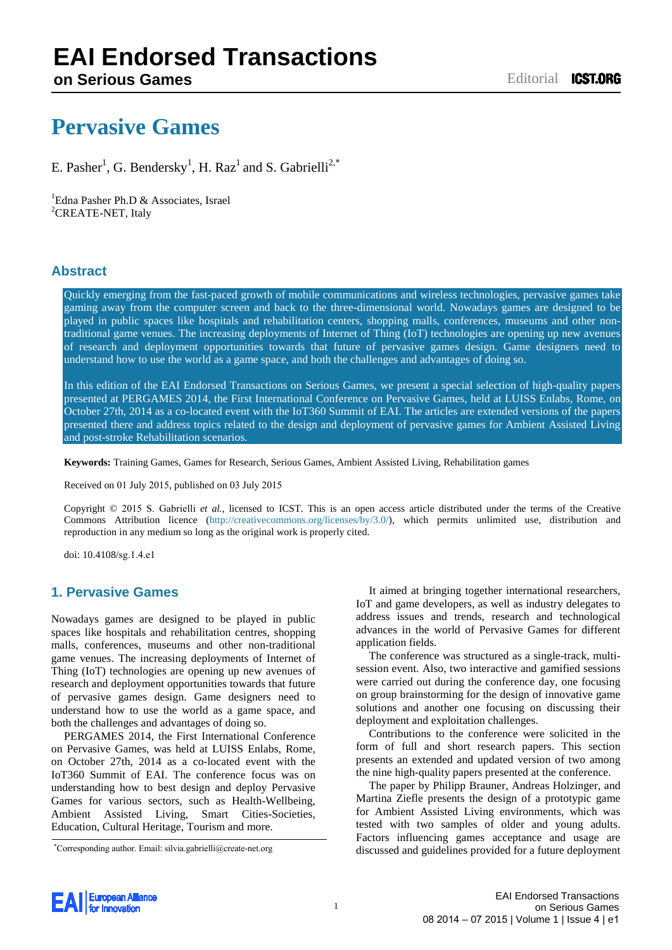# **EAI Endorsed Transactions**

## **Pervasive Games**

E. Pasher<sup>1</sup>, G. Bendersky<sup>1</sup>, H. Raz<sup>1</sup> and S. Gabrielli<sup>2,\*</sup>

<sup>1</sup>Edna Pasher Ph.D  $\&$  Associates, Israel <sup>2</sup>CREATE-NET, Italy

### **Abstract**

Quickly emerging from the fast-paced growth of mobile communications and wireless technologies, pervasive games take gaming away from the computer screen and back to the three-dimensional world. Nowadays games are designed to be played in public spaces like hospitals and rehabilitation centers, shopping malls, conferences, museums and other nontraditional game venues. The increasing deployments of Internet of Thing (IoT) technologies are opening up new avenues of research and deployment opportunities towards that future of pervasive games design. Game designers need to understand how to use the world as a game space, and both the challenges and advantages of doing so.

In this edition of the EAI Endorsed Transactions on Serious Games, we present a special selection of high-quality papers presented at PERGAMES 2014, the First International Conference on Pervasive Games, held at LUISS Enlabs, Rome, on October 27th, 2014 as a co-located event with the IoT360 Summit of EAI. The articles are extended versions of the papers presented there and address topics related to the design and deployment of pervasive games for Ambient Assisted Living and post-stroke Rehabilitation scenarios.

**Keywords:** Training Games, Games for Research, Serious Games, Ambient Assisted Living, Rehabilitation games

Received on 01 July 2015, published on 03 July 2015

Copyright © 2015 S. Gabrielli *et al.*, licensed to ICST. This is an open access article distributed under the terms of the Creative Commons Attribution licen[ce \(http://creativecommons.org/licenses/by/](http://creativecommons.org/licenses/by/3.0/)3.0/), which permits unlimited use, distribution and reproduction in any medium so long as the original work is properly cited.

doi: 10.4108/sg.1.4.e1

### **1. Pervasive Games**

Nowadays games are designed to be played in public spaces like hospitals and rehabilitation centres, shopping malls, conferences, museums and other non-traditional game venues. The increasing deployments of Internet of Thing (IoT) technologies are opening up new avenues of research and deployment opportunities towards that future of pervasive games design. Game designers need to understand how to use the world as a game space, and both the challenges and advantages of doing so.

PERGAMES 2014, the First International Conference on Pervasive Games, was held at LUISS Enlabs, Rome, on October 27th, 2014 as a co-located event with the IoT360 Summit of EAI. The conference focus was on understanding how to best design and deploy Pervasive Games for various sectors, such as Health-Wellbeing, Ambient Assisted Living, Smart Cities-Societies, Education, Cultural Heritage, Tourism and more.

\*Corresponding author. Email: silvia.gabrielli@create-net.org

It aimed at bringing together international researchers, IoT and game developers, as well as industry delegates to address issues and trends, research and technological advances in the world of Pervasive Games for different application fields.

The conference was structured as a single-track, multisession event. Also, two interactive and gamified sessions were carried out during the conference day, one focusing on group brainstorming for the design of innovative game solutions and another one focusing on discussing their deployment and exploitation challenges.

Contributions to the conference were solicited in the form of full and short research papers. This section presents an extended and updated version of two among the nine high-quality papers presented at the conference.

The paper by Philipp Brauner, Andreas Holzinger, and Martina Ziefle presents the design of a prototypic game for Ambient Assisted Living environments, which was tested with two samples of older and young adults. Factors influencing games acceptance and usage are discussed and guidelines provided for a future deployment